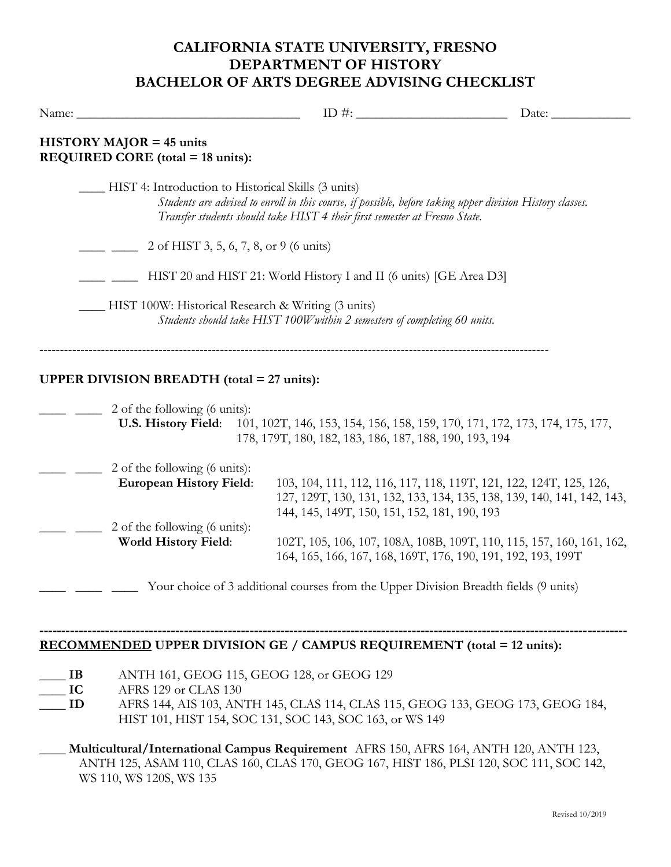## **CALIFORNIA STATE UNIVERSITY, FRESNO DEPARTMENT OF HISTORY BACHELOR OF ARTS DEGREE ADVISING CHECKLIST**

| Name:          |                                                                                 | ID #: $\frac{1}{2}$ = $\frac{1}{2}$ = $\frac{1}{2}$ = $\frac{1}{2}$ = $\frac{1}{2}$ = $\frac{1}{2}$ = $\frac{1}{2}$ = $\frac{1}{2}$ = $\frac{1}{2}$ = $\frac{1}{2}$ = $\frac{1}{2}$ = $\frac{1}{2}$ = $\frac{1}{2}$ = $\frac{1}{2}$ = $\frac{1}{2}$ = $\frac{1}{2}$ = $\frac{1}{2}$ = $\frac{1}{2}$ = | Date:                                                                                                                                        |
|----------------|---------------------------------------------------------------------------------|-------------------------------------------------------------------------------------------------------------------------------------------------------------------------------------------------------------------------------------------------------------------------------------------------------|----------------------------------------------------------------------------------------------------------------------------------------------|
|                | $HISTORY MAJOR = 45 \tmtext{units}$<br><b>REQUIRED CORE</b> (total = 18 units): |                                                                                                                                                                                                                                                                                                       |                                                                                                                                              |
|                | HIST 4: Introduction to Historical Skills (3 units)                             | Students are advised to enroll in this course, if possible, before taking upper division History classes.<br>Transfer students should take HIST 4 their first semester at Fresno State.                                                                                                               |                                                                                                                                              |
|                | 2 of HIST 3, 5, 6, 7, 8, or 9 (6 units)                                         |                                                                                                                                                                                                                                                                                                       |                                                                                                                                              |
|                | HIST 20 and HIST 21: World History I and II (6 units) [GE Area D3]              |                                                                                                                                                                                                                                                                                                       |                                                                                                                                              |
|                | -HIST 100W: Historical Research & Writing (3 units)                             | Students should take HIST 100W within 2 semesters of completing 60 units.                                                                                                                                                                                                                             |                                                                                                                                              |
|                | <b>UPPER DIVISION BREADTH</b> (total = 27 units):                               |                                                                                                                                                                                                                                                                                                       |                                                                                                                                              |
|                | 2 of the following (6 units):                                                   | 178, 179T, 180, 182, 183, 186, 187, 188, 190, 193, 194                                                                                                                                                                                                                                                | U.S. History Field: 101, 102T, 146, 153, 154, 156, 158, 159, 170, 171, 172, 173, 174, 175, 177,                                              |
|                | 2 of the following (6 units):<br><b>European History Field:</b>                 | 144, 145, 149T, 150, 151, 152, 181, 190, 193                                                                                                                                                                                                                                                          | 103, 104, 111, 112, 116, 117, 118, 119T, 121, 122, 124T, 125, 126,<br>127, 129T, 130, 131, 132, 133, 134, 135, 138, 139, 140, 141, 142, 143, |
|                | 2 of the following (6 units):<br><b>World History Field:</b>                    | 164, 165, 166, 167, 168, 169T, 176, 190, 191, 192, 193, 199T                                                                                                                                                                                                                                          | 102T, 105, 106, 107, 108A, 108B, 109T, 110, 115, 157, 160, 161, 162,                                                                         |
|                |                                                                                 | Your choice of 3 additional courses from the Upper Division Breadth fields (9 units)                                                                                                                                                                                                                  |                                                                                                                                              |
|                |                                                                                 | <b>RECOMMENDED UPPER DIVISION GE / CAMPUS REQUIREMENT (total = 12 units):</b>                                                                                                                                                                                                                         |                                                                                                                                              |
| IB<br>IC<br>ID | ANTH 161, GEOG 115, GEOG 128, or GEOG 129<br>AFRS 129 or CLAS 130               | AERS 144 AIS 103 ANTH 145 CLAS 114 CLAS 115 CEOC 133 CEOC 173 CEOC 184                                                                                                                                                                                                                                |                                                                                                                                              |

\_\_\_\_ **ID** AFRS 144, AIS 103, ANTH 145, CLAS 114, CLAS 115, GEOG 133, GEOG 173, GEOG 184, HIST 101, HIST 154, SOC 131, SOC 143, SOC 163, or WS 149

**\_\_\_\_ Multicultural/International Campus Requirement** AFRS 150, AFRS 164, ANTH 120, ANTH 123, ANTH 125, ASAM 110, CLAS 160, CLAS 170, GEOG 167, HIST 186, PLSI 120, SOC 111, SOC 142, WS 110, WS 120S, WS 135